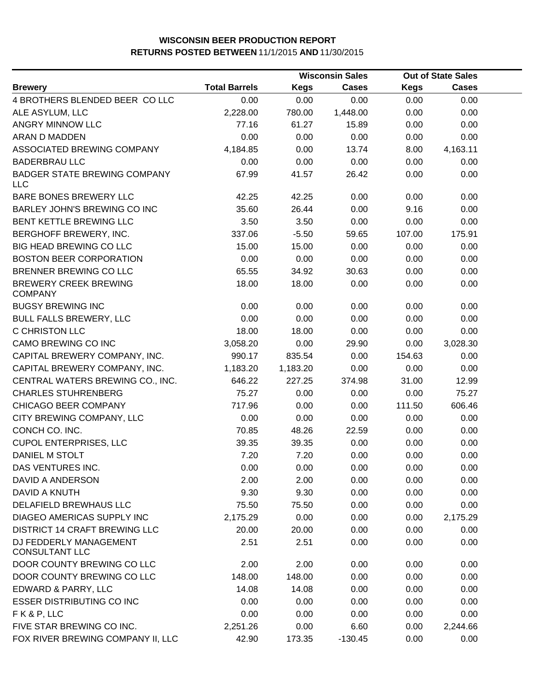|                                                   |                      | <b>Wisconsin Sales</b> |              |             | <b>Out of State Sales</b> |  |
|---------------------------------------------------|----------------------|------------------------|--------------|-------------|---------------------------|--|
| <b>Brewery</b>                                    | <b>Total Barrels</b> | <b>Kegs</b>            | <b>Cases</b> | <b>Kegs</b> | <b>Cases</b>              |  |
| 4 BROTHERS BLENDED BEER CO LLC                    | 0.00                 | 0.00                   | 0.00         | 0.00        | 0.00                      |  |
| ALE ASYLUM, LLC                                   | 2,228.00             | 780.00                 | 1,448.00     | 0.00        | 0.00                      |  |
| <b>ANGRY MINNOW LLC</b>                           | 77.16                | 61.27                  | 15.89        | 0.00        | 0.00                      |  |
| ARAN D MADDEN                                     | 0.00                 | 0.00                   | 0.00         | 0.00        | 0.00                      |  |
| ASSOCIATED BREWING COMPANY                        | 4,184.85             | 0.00                   | 13.74        | 8.00        | 4,163.11                  |  |
| <b>BADERBRAU LLC</b>                              | 0.00                 | 0.00                   | 0.00         | 0.00        | 0.00                      |  |
| <b>BADGER STATE BREWING COMPANY</b><br><b>LLC</b> | 67.99                | 41.57                  | 26.42        | 0.00        | 0.00                      |  |
| BARE BONES BREWERY LLC                            | 42.25                | 42.25                  | 0.00         | 0.00        | 0.00                      |  |
| BARLEY JOHN'S BREWING CO INC                      | 35.60                | 26.44                  | 0.00         | 9.16        | 0.00                      |  |
| BENT KETTLE BREWING LLC                           | 3.50                 | 3.50                   | 0.00         | 0.00        | 0.00                      |  |
| BERGHOFF BREWERY, INC.                            | 337.06               | $-5.50$                | 59.65        | 107.00      | 175.91                    |  |
| <b>BIG HEAD BREWING CO LLC</b>                    | 15.00                | 15.00                  | 0.00         | 0.00        | 0.00                      |  |
| <b>BOSTON BEER CORPORATION</b>                    | 0.00                 | 0.00                   | 0.00         | 0.00        | 0.00                      |  |
| BRENNER BREWING CO LLC                            | 65.55                | 34.92                  | 30.63        | 0.00        | 0.00                      |  |
| <b>BREWERY CREEK BREWING</b><br><b>COMPANY</b>    | 18.00                | 18.00                  | 0.00         | 0.00        | 0.00                      |  |
| <b>BUGSY BREWING INC</b>                          | 0.00                 | 0.00                   | 0.00         | 0.00        | 0.00                      |  |
| <b>BULL FALLS BREWERY, LLC</b>                    | 0.00                 | 0.00                   | 0.00         | 0.00        | 0.00                      |  |
| C CHRISTON LLC                                    | 18.00                | 18.00                  | 0.00         | 0.00        | 0.00                      |  |
| CAMO BREWING CO INC                               | 3,058.20             | 0.00                   | 29.90        | 0.00        | 3,028.30                  |  |
| CAPITAL BREWERY COMPANY, INC.                     | 990.17               | 835.54                 | 0.00         | 154.63      | 0.00                      |  |
| CAPITAL BREWERY COMPANY, INC.                     | 1,183.20             | 1,183.20               | 0.00         | 0.00        | 0.00                      |  |
| CENTRAL WATERS BREWING CO., INC.                  | 646.22               | 227.25                 | 374.98       | 31.00       | 12.99                     |  |
| <b>CHARLES STUHRENBERG</b>                        | 75.27                | 0.00                   | 0.00         | 0.00        | 75.27                     |  |
| CHICAGO BEER COMPANY                              | 717.96               | 0.00                   | 0.00         | 111.50      | 606.46                    |  |
| CITY BREWING COMPANY, LLC                         | 0.00                 | 0.00                   | 0.00         | 0.00        | 0.00                      |  |
| CONCH CO. INC.                                    | 70.85                | 48.26                  | 22.59        | 0.00        | 0.00                      |  |
| <b>CUPOL ENTERPRISES, LLC</b>                     | 39.35                | 39.35                  | 0.00         | 0.00        | 0.00                      |  |
| DANIEL M STOLT                                    | 7.20                 | 7.20                   | 0.00         | 0.00        | 0.00                      |  |
| DAS VENTURES INC.                                 | 0.00                 | 0.00                   | 0.00         | 0.00        | 0.00                      |  |
| DAVID A ANDERSON                                  | 2.00                 | 2.00                   | 0.00         | 0.00        | 0.00                      |  |
| DAVID A KNUTH                                     | 9.30                 | 9.30                   | 0.00         | 0.00        | 0.00                      |  |
| DELAFIELD BREWHAUS LLC                            | 75.50                | 75.50                  | 0.00         | 0.00        | 0.00                      |  |
| DIAGEO AMERICAS SUPPLY INC                        | 2,175.29             | 0.00                   | 0.00         | 0.00        | 2,175.29                  |  |
| <b>DISTRICT 14 CRAFT BREWING LLC</b>              | 20.00                | 20.00                  | 0.00         | 0.00        | 0.00                      |  |
| DJ FEDDERLY MANAGEMENT<br><b>CONSULTANT LLC</b>   | 2.51                 | 2.51                   | 0.00         | 0.00        | 0.00                      |  |
| DOOR COUNTY BREWING CO LLC                        | 2.00                 | 2.00                   | 0.00         | 0.00        | 0.00                      |  |
| DOOR COUNTY BREWING CO LLC                        | 148.00               | 148.00                 | 0.00         | 0.00        | 0.00                      |  |
| EDWARD & PARRY, LLC                               | 14.08                | 14.08                  | 0.00         | 0.00        | 0.00                      |  |
| <b>ESSER DISTRIBUTING CO INC</b>                  | 0.00                 | 0.00                   | 0.00         | 0.00        | 0.00                      |  |
| FK&P, LLC                                         | 0.00                 | 0.00                   | 0.00         | 0.00        | 0.00                      |  |
| FIVE STAR BREWING CO INC.                         | 2,251.26             | 0.00                   | 6.60         | 0.00        | 2,244.66                  |  |
| FOX RIVER BREWING COMPANY II, LLC                 | 42.90                | 173.35                 | $-130.45$    | 0.00        | 0.00                      |  |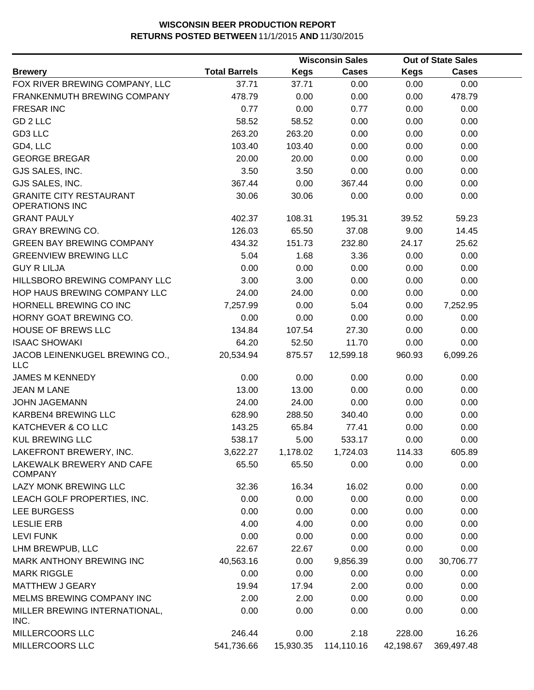|                                                         |                      |             | <b>Wisconsin Sales</b> |             | <b>Out of State Sales</b> |  |
|---------------------------------------------------------|----------------------|-------------|------------------------|-------------|---------------------------|--|
| <b>Brewery</b>                                          | <b>Total Barrels</b> | <b>Kegs</b> | <b>Cases</b>           | <b>Kegs</b> | <b>Cases</b>              |  |
| FOX RIVER BREWING COMPANY, LLC                          | 37.71                | 37.71       | 0.00                   | 0.00        | 0.00                      |  |
| FRANKENMUTH BREWING COMPANY                             | 478.79               | 0.00        | 0.00                   | 0.00        | 478.79                    |  |
| <b>FRESAR INC</b>                                       | 0.77                 | 0.00        | 0.77                   | 0.00        | 0.00                      |  |
| GD 2 LLC                                                | 58.52                | 58.52       | 0.00                   | 0.00        | 0.00                      |  |
| GD3 LLC                                                 | 263.20               | 263.20      | 0.00                   | 0.00        | 0.00                      |  |
| GD4, LLC                                                | 103.40               | 103.40      | 0.00                   | 0.00        | 0.00                      |  |
| <b>GEORGE BREGAR</b>                                    | 20.00                | 20.00       | 0.00                   | 0.00        | 0.00                      |  |
| GJS SALES, INC.                                         | 3.50                 | 3.50        | 0.00                   | 0.00        | 0.00                      |  |
| GJS SALES, INC.                                         | 367.44               | 0.00        | 367.44                 | 0.00        | 0.00                      |  |
| <b>GRANITE CITY RESTAURANT</b><br><b>OPERATIONS INC</b> | 30.06                | 30.06       | 0.00                   | 0.00        | 0.00                      |  |
| <b>GRANT PAULY</b>                                      | 402.37               | 108.31      | 195.31                 | 39.52       | 59.23                     |  |
| <b>GRAY BREWING CO.</b>                                 | 126.03               | 65.50       | 37.08                  | 9.00        | 14.45                     |  |
| <b>GREEN BAY BREWING COMPANY</b>                        | 434.32               | 151.73      | 232.80                 | 24.17       | 25.62                     |  |
| <b>GREENVIEW BREWING LLC</b>                            | 5.04                 | 1.68        | 3.36                   | 0.00        | 0.00                      |  |
| <b>GUY R LILJA</b>                                      | 0.00                 | 0.00        | 0.00                   | 0.00        | 0.00                      |  |
| HILLSBORO BREWING COMPANY LLC                           | 3.00                 | 3.00        | 0.00                   | 0.00        | 0.00                      |  |
| HOP HAUS BREWING COMPANY LLC                            | 24.00                | 24.00       | 0.00                   | 0.00        | 0.00                      |  |
| HORNELL BREWING CO INC                                  | 7,257.99             | 0.00        | 5.04                   | 0.00        | 7,252.95                  |  |
| HORNY GOAT BREWING CO.                                  | 0.00                 | 0.00        | 0.00                   | 0.00        | 0.00                      |  |
| HOUSE OF BREWS LLC                                      | 134.84               | 107.54      | 27.30                  | 0.00        | 0.00                      |  |
| <b>ISAAC SHOWAKI</b>                                    | 64.20                | 52.50       | 11.70                  | 0.00        | 0.00                      |  |
| JACOB LEINENKUGEL BREWING CO.,<br><b>LLC</b>            | 20,534.94            | 875.57      | 12,599.18              | 960.93      | 6,099.26                  |  |
| <b>JAMES M KENNEDY</b>                                  | 0.00                 | 0.00        | 0.00                   | 0.00        | 0.00                      |  |
| <b>JEAN M LANE</b>                                      | 13.00                | 13.00       | 0.00                   | 0.00        | 0.00                      |  |
| <b>JOHN JAGEMANN</b>                                    | 24.00                | 24.00       | 0.00                   | 0.00        | 0.00                      |  |
| KARBEN4 BREWING LLC                                     | 628.90               | 288.50      | 340.40                 | 0.00        | 0.00                      |  |
| KATCHEVER & CO LLC                                      | 143.25               | 65.84       | 77.41                  | 0.00        | 0.00                      |  |
| <b>KUL BREWING LLC</b>                                  | 538.17               | 5.00        | 533.17                 | 0.00        | 0.00                      |  |
| LAKEFRONT BREWERY, INC.                                 | 3,622.27             | 1,178.02    | 1,724.03               | 114.33      | 605.89                    |  |
| LAKEWALK BREWERY AND CAFE<br><b>COMPANY</b>             | 65.50                | 65.50       | 0.00                   | 0.00        | 0.00                      |  |
| LAZY MONK BREWING LLC                                   | 32.36                | 16.34       | 16.02                  | 0.00        | 0.00                      |  |
| LEACH GOLF PROPERTIES, INC.                             | 0.00                 | 0.00        | 0.00                   | 0.00        | 0.00                      |  |
| LEE BURGESS                                             | 0.00                 | 0.00        | 0.00                   | 0.00        | 0.00                      |  |
| <b>LESLIE ERB</b>                                       | 4.00                 | 4.00        | 0.00                   | 0.00        | 0.00                      |  |
| <b>LEVI FUNK</b>                                        | 0.00                 | 0.00        | 0.00                   | 0.00        | 0.00                      |  |
| LHM BREWPUB, LLC                                        | 22.67                | 22.67       | 0.00                   | 0.00        | 0.00                      |  |
| MARK ANTHONY BREWING INC                                | 40,563.16            | 0.00        | 9,856.39               | 0.00        | 30,706.77                 |  |
| <b>MARK RIGGLE</b>                                      | 0.00                 | 0.00        | 0.00                   | 0.00        | 0.00                      |  |
| <b>MATTHEW J GEARY</b>                                  | 19.94                | 17.94       | 2.00                   | 0.00        | 0.00                      |  |
| MELMS BREWING COMPANY INC                               | 2.00                 | 2.00        | 0.00                   | 0.00        | 0.00                      |  |
| MILLER BREWING INTERNATIONAL,<br>INC.                   | 0.00                 | 0.00        | 0.00                   | 0.00        | 0.00                      |  |
| MILLERCOORS LLC                                         | 246.44               | 0.00        | 2.18                   | 228.00      | 16.26                     |  |
| MILLERCOORS LLC                                         | 541,736.66           | 15,930.35   | 114,110.16             | 42,198.67   | 369,497.48                |  |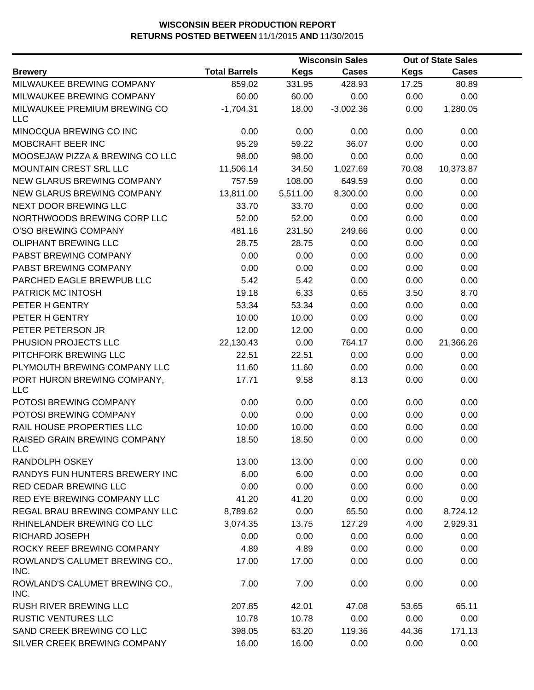|                                           |                      |             | <b>Wisconsin Sales</b> |             | <b>Out of State Sales</b> |  |
|-------------------------------------------|----------------------|-------------|------------------------|-------------|---------------------------|--|
| <b>Brewery</b>                            | <b>Total Barrels</b> | <b>Kegs</b> | <b>Cases</b>           | <b>Kegs</b> | Cases                     |  |
| MILWAUKEE BREWING COMPANY                 | 859.02               | 331.95      | 428.93                 | 17.25       | 80.89                     |  |
| MILWAUKEE BREWING COMPANY                 | 60.00                | 60.00       | 0.00                   | 0.00        | 0.00                      |  |
| MILWAUKEE PREMIUM BREWING CO<br>LLC       | $-1,704.31$          | 18.00       | $-3,002.36$            | 0.00        | 1,280.05                  |  |
| MINOCQUA BREWING CO INC                   | 0.00                 | 0.00        | 0.00                   | 0.00        | 0.00                      |  |
| MOBCRAFT BEER INC                         | 95.29                | 59.22       | 36.07                  | 0.00        | 0.00                      |  |
| MOOSEJAW PIZZA & BREWING CO LLC           | 98.00                | 98.00       | 0.00                   | 0.00        | 0.00                      |  |
| MOUNTAIN CREST SRL LLC                    | 11,506.14            | 34.50       | 1,027.69               | 70.08       | 10,373.87                 |  |
| NEW GLARUS BREWING COMPANY                | 757.59               | 108.00      | 649.59                 | 0.00        | 0.00                      |  |
| NEW GLARUS BREWING COMPANY                | 13,811.00            | 5,511.00    | 8,300.00               | 0.00        | 0.00                      |  |
| NEXT DOOR BREWING LLC                     | 33.70                | 33.70       | 0.00                   | 0.00        | 0.00                      |  |
| NORTHWOODS BREWING CORP LLC               | 52.00                | 52.00       | 0.00                   | 0.00        | 0.00                      |  |
| O'SO BREWING COMPANY                      | 481.16               | 231.50      | 249.66                 | 0.00        | 0.00                      |  |
| OLIPHANT BREWING LLC                      | 28.75                | 28.75       | 0.00                   | 0.00        | 0.00                      |  |
| PABST BREWING COMPANY                     | 0.00                 | 0.00        | 0.00                   | 0.00        | 0.00                      |  |
| PABST BREWING COMPANY                     | 0.00                 | 0.00        | 0.00                   | 0.00        | 0.00                      |  |
| PARCHED EAGLE BREWPUB LLC                 | 5.42                 | 5.42        | 0.00                   | 0.00        | 0.00                      |  |
| PATRICK MC INTOSH                         | 19.18                | 6.33        | 0.65                   | 3.50        | 8.70                      |  |
| PETER H GENTRY                            | 53.34                | 53.34       | 0.00                   | 0.00        | 0.00                      |  |
| PETER H GENTRY                            | 10.00                | 10.00       | 0.00                   | 0.00        | 0.00                      |  |
| PETER PETERSON JR                         | 12.00                | 12.00       | 0.00                   | 0.00        | 0.00                      |  |
| PHUSION PROJECTS LLC                      | 22,130.43            | 0.00        | 764.17                 | 0.00        | 21,366.26                 |  |
| PITCHFORK BREWING LLC                     | 22.51                | 22.51       | 0.00                   | 0.00        | 0.00                      |  |
| PLYMOUTH BREWING COMPANY LLC              | 11.60                | 11.60       | 0.00                   | 0.00        | 0.00                      |  |
| PORT HURON BREWING COMPANY,<br><b>LLC</b> | 17.71                | 9.58        | 8.13                   | 0.00        | 0.00                      |  |
| POTOSI BREWING COMPANY                    | 0.00                 | 0.00        | 0.00                   | 0.00        | 0.00                      |  |
| POTOSI BREWING COMPANY                    | 0.00                 | 0.00        | 0.00                   | 0.00        | 0.00                      |  |
| RAIL HOUSE PROPERTIES LLC                 | 10.00                | 10.00       | 0.00                   | 0.00        | 0.00                      |  |
| RAISED GRAIN BREWING COMPANY<br>LLC       | 18.50                | 18.50       | 0.00                   | 0.00        | 0.00                      |  |
| RANDOLPH OSKEY                            | 13.00                | 13.00       | 0.00                   | 0.00        | 0.00                      |  |
| RANDYS FUN HUNTERS BREWERY INC            | 6.00                 | 6.00        | 0.00                   | 0.00        | 0.00                      |  |
| <b>RED CEDAR BREWING LLC</b>              | 0.00                 | 0.00        | 0.00                   | 0.00        | 0.00                      |  |
| RED EYE BREWING COMPANY LLC               | 41.20                | 41.20       | 0.00                   | 0.00        | 0.00                      |  |
| REGAL BRAU BREWING COMPANY LLC            | 8,789.62             | 0.00        | 65.50                  | 0.00        | 8,724.12                  |  |
| RHINELANDER BREWING CO LLC                | 3,074.35             | 13.75       | 127.29                 | 4.00        | 2,929.31                  |  |
| <b>RICHARD JOSEPH</b>                     | 0.00                 | 0.00        | 0.00                   | 0.00        | 0.00                      |  |
| ROCKY REEF BREWING COMPANY                | 4.89                 | 4.89        | 0.00                   | 0.00        | 0.00                      |  |
| ROWLAND'S CALUMET BREWING CO.,<br>INC.    | 17.00                | 17.00       | 0.00                   | 0.00        | 0.00                      |  |
| ROWLAND'S CALUMET BREWING CO.,<br>INC.    | 7.00                 | 7.00        | 0.00                   | 0.00        | 0.00                      |  |
| <b>RUSH RIVER BREWING LLC</b>             | 207.85               | 42.01       | 47.08                  | 53.65       | 65.11                     |  |
| <b>RUSTIC VENTURES LLC</b>                | 10.78                | 10.78       | 0.00                   | 0.00        | 0.00                      |  |
| SAND CREEK BREWING CO LLC                 | 398.05               | 63.20       | 119.36                 | 44.36       | 171.13                    |  |
| SILVER CREEK BREWING COMPANY              | 16.00                | 16.00       | 0.00                   | 0.00        | 0.00                      |  |